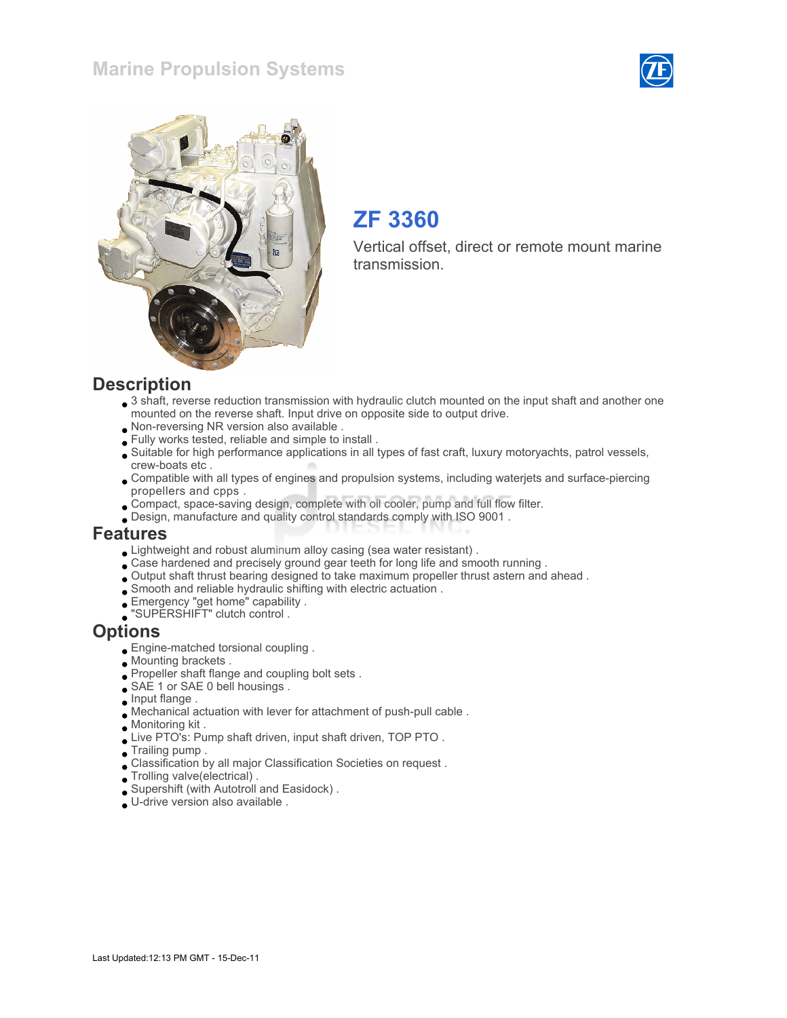### Marine Propulsion Systems





# ZF 3360

Vertical offset, direct or remote mount marine transmission.

#### **Description**

- 3 shaft, reverse reduction transmission with hydraulic clutch mounted on the input shaft and another one mounted on the reverse shaft. Input drive on opposite side to output drive.
- Non-reversing NR version also available .
- Fully works tested, reliable and simple to install .
- Suitable for high performance applications in all types of fast craft, luxury motoryachts, patrol vessels, crew-boats etc .
- Compatible with all types of engines and propulsion systems, including waterjets and surface-piercing propellers and cpps .
- Compact, space-saving design, complete with oil cooler, pump and full flow filter.
- Design, manufacture and quality control standards comply with ISO 9001 .

#### Features

- Lightweight and robust aluminum alloy casing (sea water resistant) .
- Case hardened and precisely ground gear teeth for long life and smooth running .
- Output shaft thrust bearing designed to take maximum propeller thrust astern and ahead .
- Smooth and reliable hydraulic shifting with electric actuation .
- Emergency "get home" capability .
- "SUPERSHIFT" clutch control .

#### **Options**

- Engine-matched torsional coupling .
- Mounting brackets .
- Propeller shaft flange and coupling bolt sets .
- SAE 1 or SAE 0 bell housings .
- Input flange .
- Mechanical actuation with lever for attachment of push-pull cable .
- Monitoring kit .
- Live PTO's: Pump shaft driven, input shaft driven, TOP PTO.
- Trailing pump .
- Classification by all major Classification Societies on request .
- Trolling valve(electrical) .
- Supershift (with Autotroll and Easidock) .
- U-drive version also available .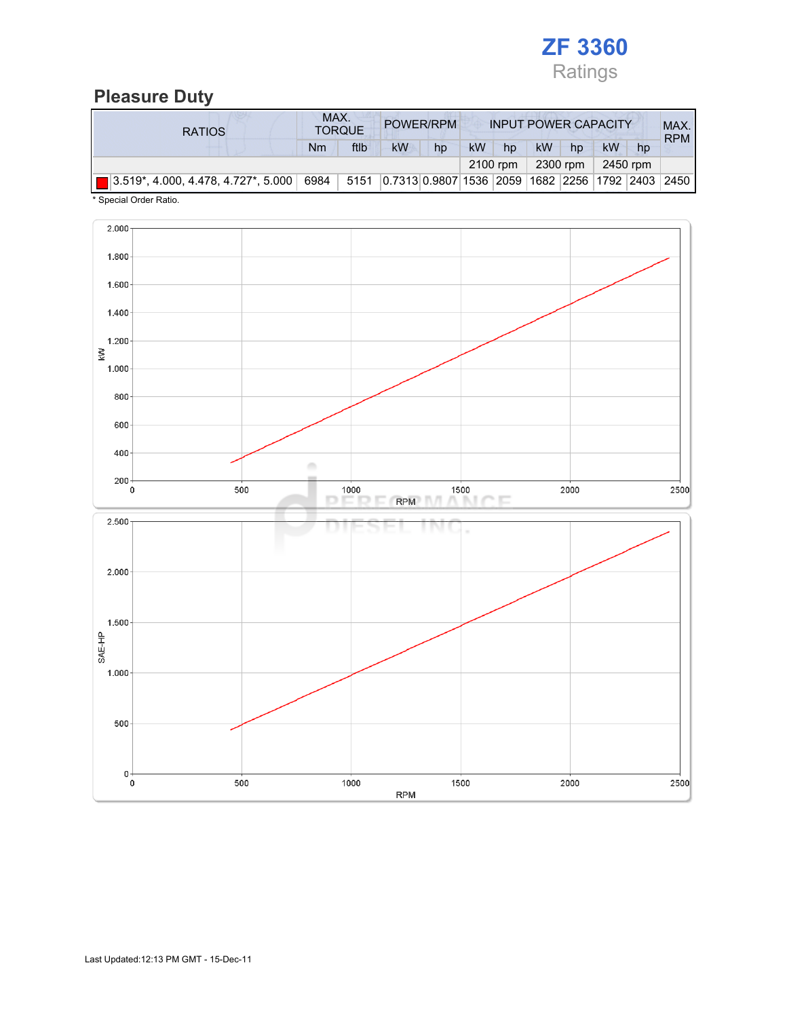

### Pleasure Duty

| <b>RATIOS</b> | MAX.<br>POWER/RPM<br><b>TORQUE</b> |          |                                                       | <b>INPUT POWER CAPACITY</b> |           |    |    |    |    | MAX.<br><b>RPM</b> |  |
|---------------|------------------------------------|----------|-------------------------------------------------------|-----------------------------|-----------|----|----|----|----|--------------------|--|
|               | Nm                                 | ftlb     | <b>kW</b>                                             | hp                          | <b>kW</b> | hp | kW | hp | kW | hp                 |  |
|               |                                    | 2100 rpm |                                                       | 2300 rpm                    | 2450 rpm  |    |    |    |    |                    |  |
|               |                                    |          | 5151 0.7313 0.9807 1536 2059 1682 2256 1792 2403 2450 |                             |           |    |    |    |    |                    |  |

\* Special Order Ratio.

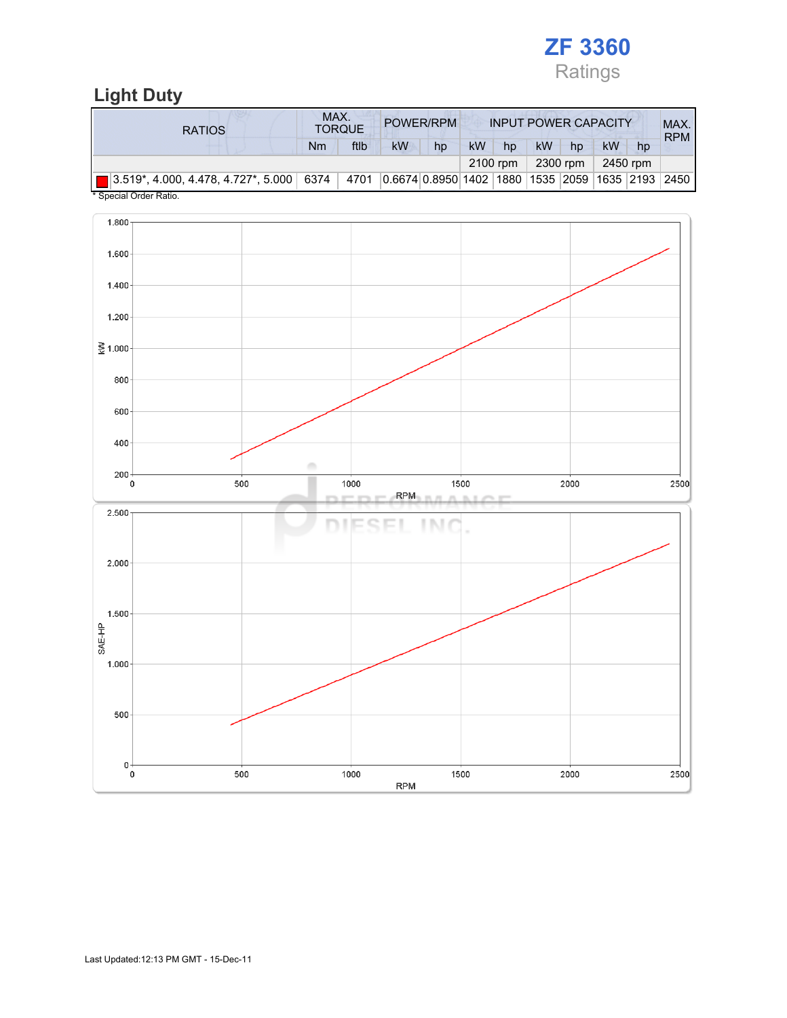

# Light Duty

| <b>RATIOS</b>                                                                                                        |    | MAX.<br><b>TORQUE</b> | POWER/RPM<br><b>INPUT POWER CAPACITY</b> |    |          |    |           |          |          | MAX.<br><b>RPM</b> |  |
|----------------------------------------------------------------------------------------------------------------------|----|-----------------------|------------------------------------------|----|----------|----|-----------|----------|----------|--------------------|--|
|                                                                                                                      | Nm | ftlb                  | kW                                       | hp | kW       | hp | <b>kW</b> | hp       | kW       | hp                 |  |
|                                                                                                                      |    |                       |                                          |    | 2100 rpm |    |           | 2300 rpm | 2450 rpm |                    |  |
| 3.519*, 4.000, 4.478, 4.727*, 5.000   6374   4701   0.6674   0.8950   1402   1880   1535   2059   1635   2193   2450 |    |                       |                                          |    |          |    |           |          |          |                    |  |
| * Concial Order Patio                                                                                                |    |                       |                                          |    |          |    |           |          |          |                    |  |



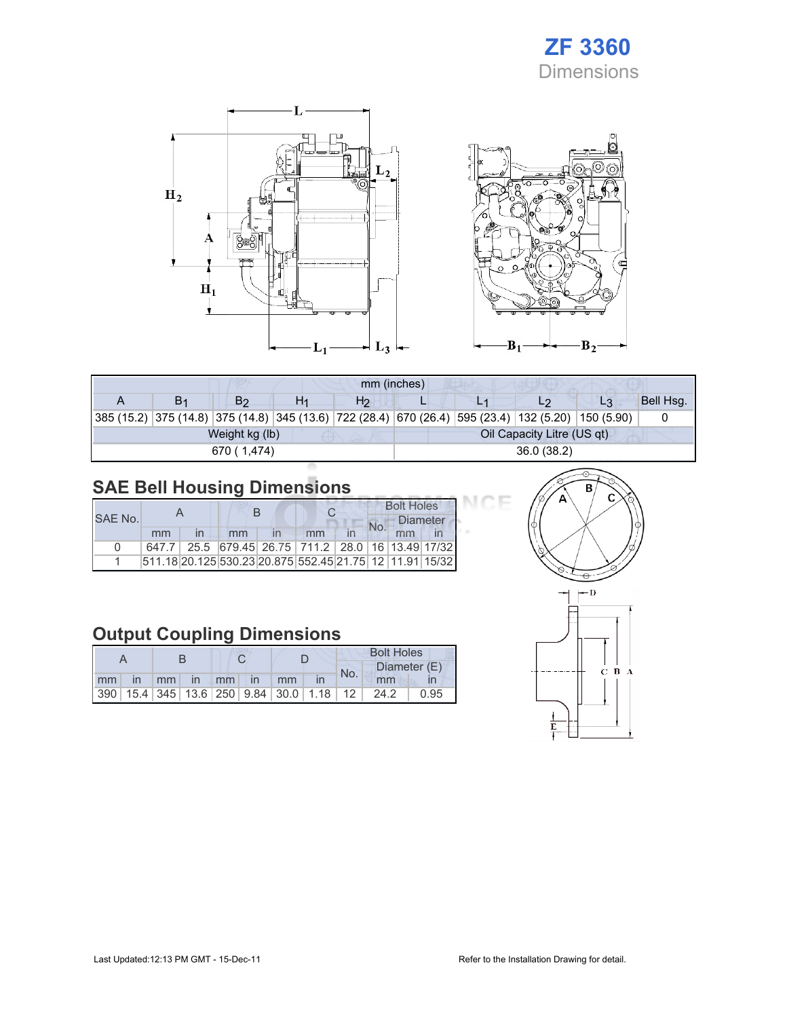# ZF 3360 Dimensions

Œ



| mm (inches) |                |                |    |                |                            |  |                                                                                                    |                |           |  |  |
|-------------|----------------|----------------|----|----------------|----------------------------|--|----------------------------------------------------------------------------------------------------|----------------|-----------|--|--|
|             | B <sub>1</sub> | B <sub>2</sub> | H1 | H <sub>2</sub> |                            |  |                                                                                                    | L <sub>3</sub> | Bell Hsg. |  |  |
|             |                |                |    |                |                            |  | 385 (15.2) 375 (14.8) 375 (14.8) 345 (13.6) 722 (28.4) 670 (26.4) 595 (23.4) 132 (5.20) 150 (5.90) |                |           |  |  |
|             |                | Weight kg (lb) |    |                | Oil Capacity Litre (US qt) |  |                                                                                                    |                |           |  |  |
|             |                | 670 (1.474)    |    |                | 36.0(38.2)                 |  |                                                                                                    |                |           |  |  |

# SAE Bell Housing Dimensions

|         |    | R  |                                                                   |  | <b>Bolt Holes</b> |                 |  |  |
|---------|----|----|-------------------------------------------------------------------|--|-------------------|-----------------|--|--|
| SAE No. |    |    |                                                                   |  |                   | <b>Diameter</b> |  |  |
|         | mm | mm | mm                                                                |  |                   | mm              |  |  |
| U       |    |    | 647.7   25.5   679.45   26.75   711.2   28.0   16   13.49   17/32 |  |                   |                 |  |  |
|         |    |    | 511.18 20.125 530.23 20.875 552.45 21.75 12 11.91 15/32           |  |                   |                 |  |  |

# Output Coupling Dimensions

|    |              |                 |          |  |           | <b>Bolt Holes</b>                                       |  |     |              |      |  |
|----|--------------|-----------------|----------|--|-----------|---------------------------------------------------------|--|-----|--------------|------|--|
|    |              |                 |          |  |           |                                                         |  | No. | Diameter (E) |      |  |
| mm | $\mathsf{I}$ | mm <sub>1</sub> | $\ln$ mm |  | <b>in</b> | mm                                                      |  |     | mm           |      |  |
|    |              |                 |          |  |           | 390   15.4   345   13.6   250   9.84   30.0   1.18   12 |  |     | 24.2         | 0.95 |  |



ICE

 $B_2$